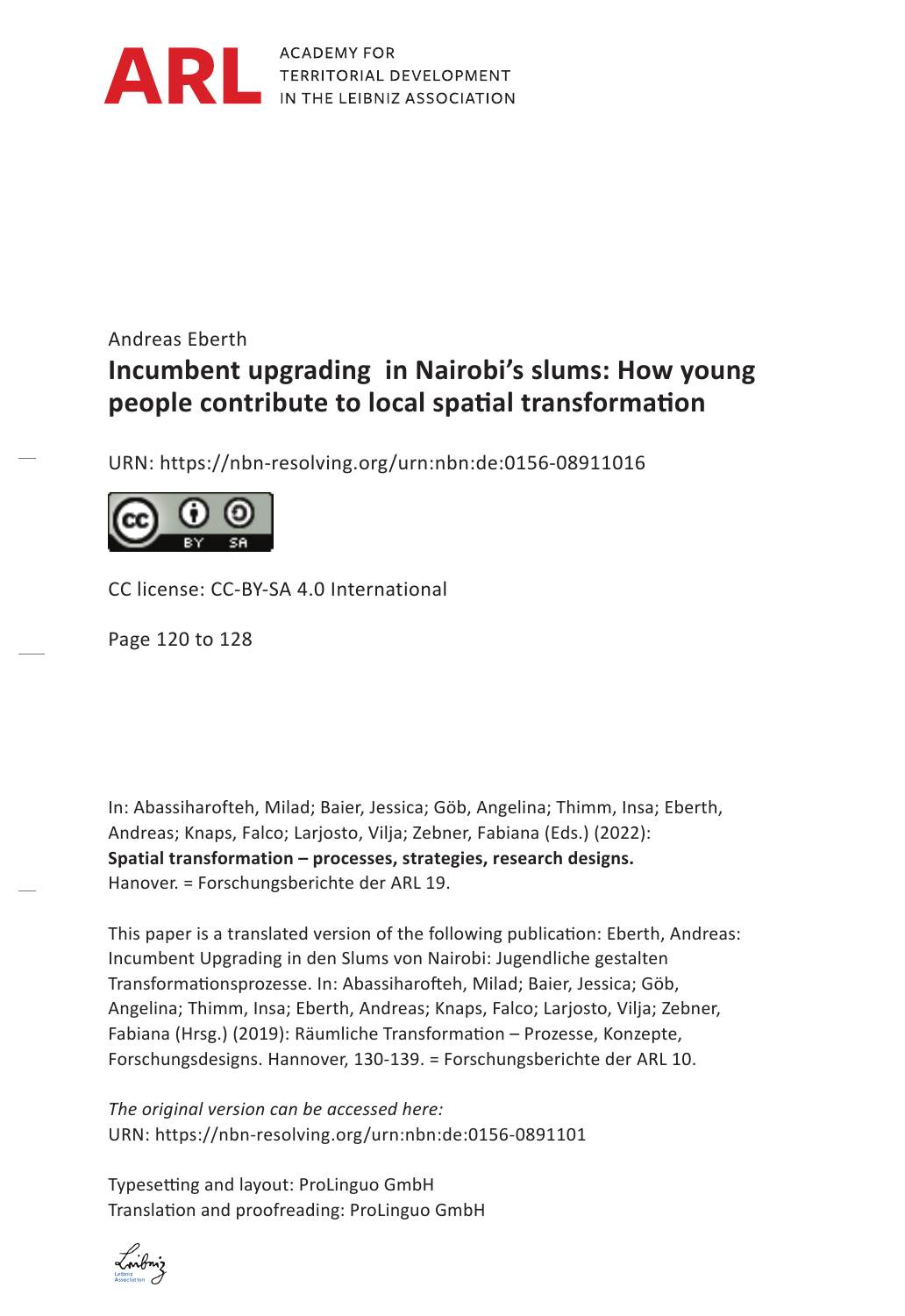

ACADEMY FOR TERRITORIAL DEVELOPMENT IN THE LEIBNIZ ASSOCIATION

# Andreas Eberth *Hendrik Schoen***Incumbent upgrading in Nairobi's slums: How young Abwägung people contribute to local spatial transformation**

URN: https://nbn-resolving.org/urn:nbn:de:0156-08911016



CC license: CC-BY-SA 4.0 International

Page 120 to 128

In: Abassiharofteh, Milad; Baier, Jessica; Göb, Angelina; Thimm, Insa; Eberth, Andreas; Knaps, Falco; Larjosto, Vilja; Zebner, Fabiana (Eds.) (2022): **Spatial transformation – processes, strategies, research designs.** Hanover. = Forschungsberichte der ARL 19.

This paper is a translated version of the following publication: Eberth, Andreas: Incumbent Upgrading in den Slums von Nairobi: Jugendliche gestalten Transformationsprozesse. In: Abassiharofteh, Milad; Baier, Jessica; Göb, Angelina; Thimm, Insa; Eberth, Andreas; Knaps, Falco; Larjosto, Vilja; Zebner, Fabiana (Hrsg.) (2019): Räumliche Transformation – Prozesse, Konzepte, Forschungsdesigns. Hannover, 130-139. = Forschungsberichte der ARL 10.

*The original version can be accessed here:* URN: https://nbn-resolving.org/urn:nbn:de:0156-0891101

Typesetting and layout: ProLinguo GmbH Translation and proofreading: ProLinguo GmbH

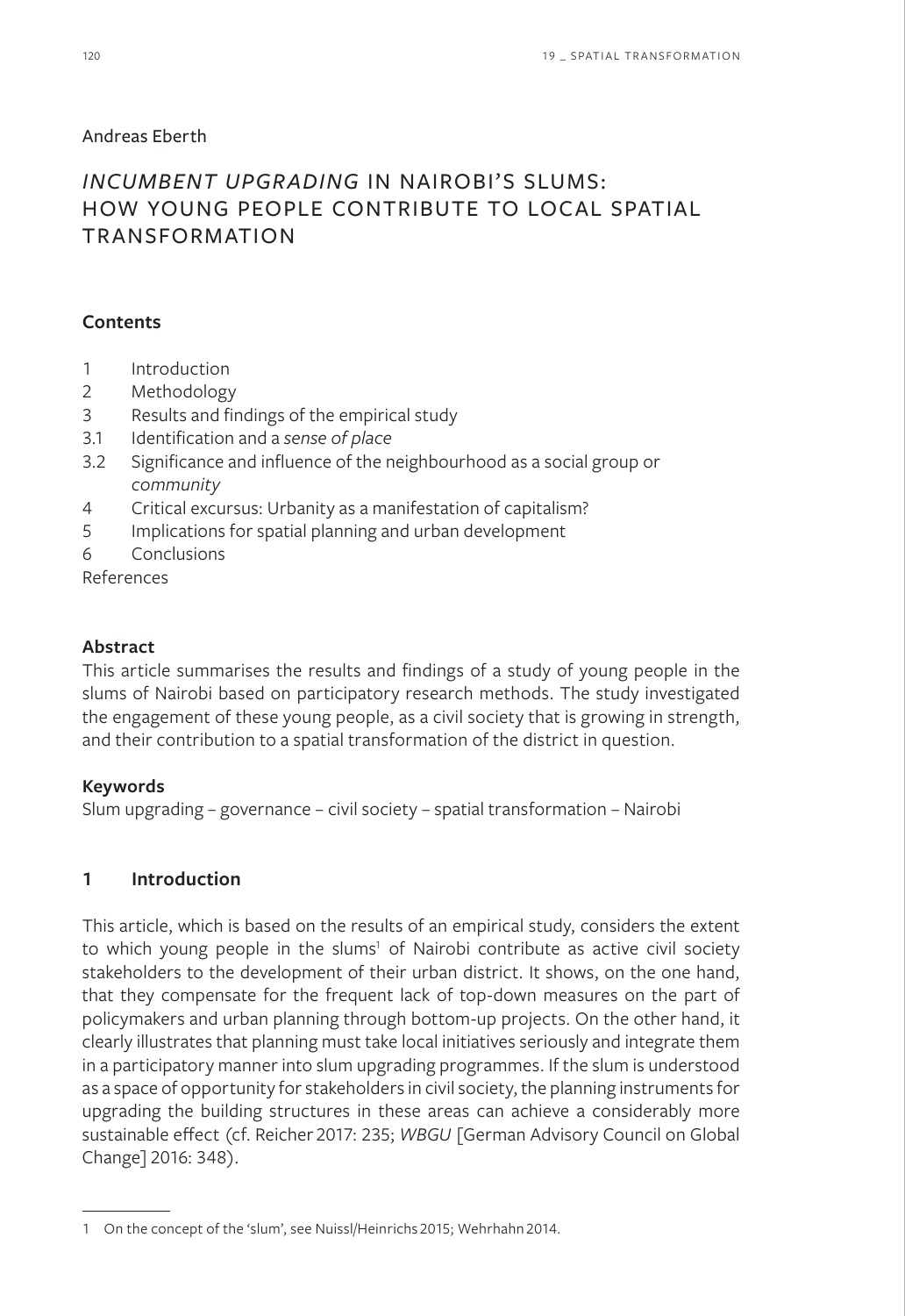### Andreas Eberth

## *INCUMBENT UPGRADING* IN NAIROBI'S SLUMS: HOW YOUNG PEOPLE CONTRIBUTE TO LOCAL SPATIAL TRANSFORMATION

### **Contents**

- 1 Introduction
- 2 Methodology
- 3 Results and findings of the empirical study
- 3.1 Identification and a *sense of place*
- 3.2 Significance and influence of the neighbourhood as a social group or *community*
- 4 Critical excursus: Urbanity as a manifestation of capitalism?
- 5 Implications for spatial planning and urban development
- 6 Conclusions
- References

### **Abstract**

This article summarises the results and findings of a study of young people in the slums of Nairobi based on participatory research methods. The study investigated the engagement of these young people, as a civil society that is growing in strength, and their contribution to a spatial transformation of the district in question.

#### **Keywords**

Slum upgrading – governance – civil society – spatial transformation – Nairobi

## **1 Introduction**

This article, which is based on the results of an empirical study, considers the extent to which young people in the slums<sup>1</sup> of Nairobi contribute as active civil society stakeholders to the development of their urban district. It shows, on the one hand, that they compensate for the frequent lack of top-down measures on the part of policymakers and urban planning through bottom-up projects. On the other hand, it clearly illustrates that planning must take local initiatives seriously and integrate them in a participatory manner into slum upgrading programmes. If the slum is understood as a space of opportunity for stakeholders in civil society, the planning instruments for upgrading the building structures in these areas can achieve a considerably more sustainable effect (cf. Reicher 2017: 235; *WBGU* [German Advisory Council on Global Change] 2016: 348).

<sup>1</sup> On the concept of the 'slum', see Nuissl/Heinrichs 2015; Wehrhahn 2014.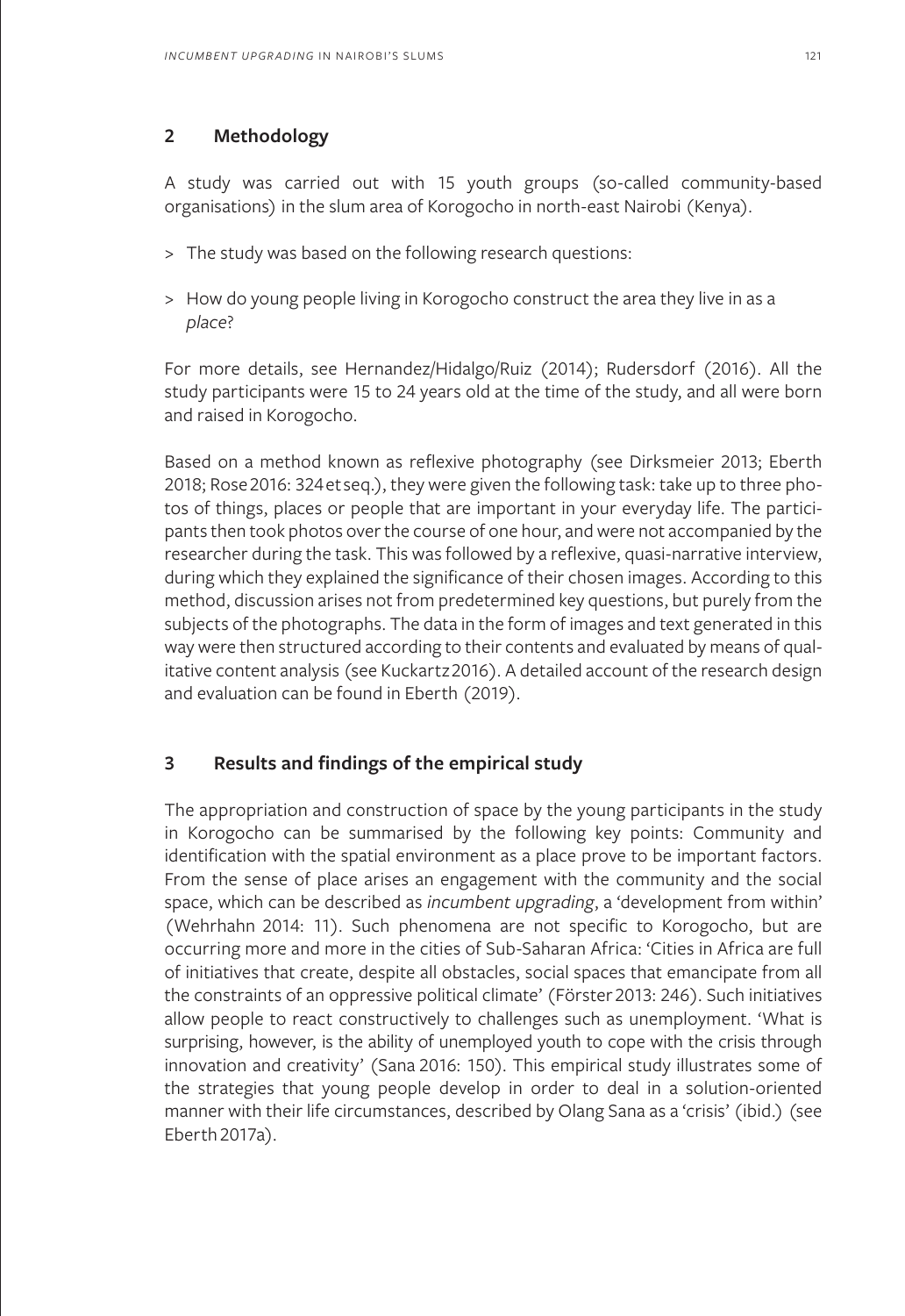## **2 Methodology**

A study was carried out with 15 youth groups (so-called community-based organisations) in the slum area of Korogocho in north-east Nairobi (Kenya).

- > The study was based on the following research questions:
- > How do young people living in Korogocho construct the area they live in as a *place*?

For more details, see Hernandez/Hidalgo/Ruiz (2014); Rudersdorf (2016). All the study participants were 15 to 24 years old at the time of the study, and all were born and raised in Korogocho.

Based on a method known as reflexive photography (see Dirksmeier 2013; Eberth 2018; Rose 2016: 324 et seq.), they were given the following task: take up to three photos of things, places or people that are important in your everyday life. The participants then took photos over the course of one hour, and were not accompanied by the researcher during the task. This was followed by a reflexive, quasi-narrative interview, during which they explained the significance of their chosen images. According to this method, discussion arises not from predetermined key questions, but purely from the subjects of the photographs. The data in the form of images and text generated in this way were then structured according to their contents and evaluated by means of qualitative content analysis (see Kuckartz 2016). A detailed account of the research design and evaluation can be found in Eberth (2019).

## **3 Results and findings of the empirical study**

The appropriation and construction of space by the young participants in the study in Korogocho can be summarised by the following key points: Community and identification with the spatial environment as a place prove to be important factors. From the sense of place arises an engagement with the community and the social space, which can be described as *incumbent upgrading*, a 'development from within' (Wehrhahn 2014: 11). Such phenomena are not specific to Korogocho, but are occurring more and more in the cities of Sub-Saharan Africa: 'Cities in Africa are full of initiatives that create, despite all obstacles, social spaces that emancipate from all the constraints of an oppressive political climate' (Förster 2013: 246). Such initiatives allow people to react constructively to challenges such as unemployment. 'What is surprising, however, is the ability of unemployed youth to cope with the crisis through innovation and creativity' (Sana 2016: 150). This empirical study illustrates some of the strategies that young people develop in order to deal in a solution-oriented manner with their life circumstances, described by Olang Sana as a 'crisis' (ibid.) (see Eberth 2017a).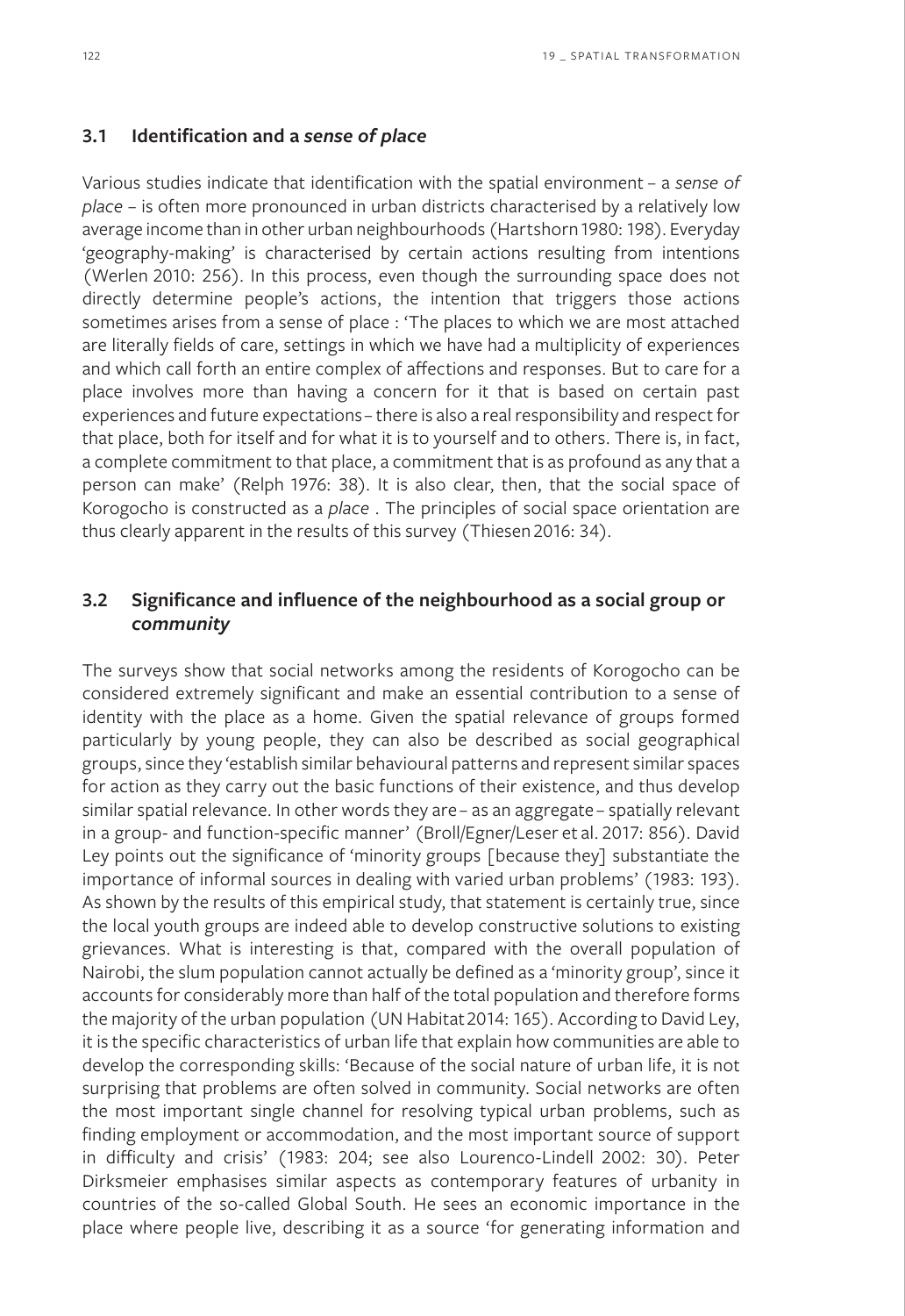#### **3.1 Identification and a** *sense of place*

Various studies indicate that identification with the spatial environment – a *sense of place* – is often more pronounced in urban districts characterised by a relatively low average income than in other urban neighbourhoods (Hartshorn 1980: 198). Everyday 'geography-making' is characterised by certain actions resulting from intentions (Werlen 2010: 256). In this process, even though the surrounding space does not directly determine people's actions, the intention that triggers those actions sometimes arises from a sense of place : 'The places to which we are most attached are literally fields of care, settings in which we have had a multiplicity of experiences and which call forth an entire complex of affections and responses. But to care for a place involves more than having a concern for it that is based on certain past experiences and future expectations – there is also a real responsibility and respect for that place, both for itself and for what it is to yourself and to others. There is, in fact, a complete commitment to that place, a commitment that is as profound as any that a person can make' (Relph 1976: 38). It is also clear, then, that the social space of Korogocho is constructed as a *place* . The principles of social space orientation are thus clearly apparent in the results of this survey (Thiesen 2016: 34).

## **3.2 Significance and influence of the neighbourhood as a social group or**  *community*

The surveys show that social networks among the residents of Korogocho can be considered extremely significant and make an essential contribution to a sense of identity with the place as a home. Given the spatial relevance of groups formed particularly by young people, they can also be described as social geographical groups, since they 'establish similar behavioural patterns and represent similar spaces for action as they carry out the basic functions of their existence, and thus develop similar spatial relevance. In other words they are – as an aggregate – spatially relevant in a group- and function-specific manner' (Broll/Egner/Leser et al. 2017: 856). David Ley points out the significance of 'minority groups [because they] substantiate the importance of informal sources in dealing with varied urban problems' (1983: 193). As shown by the results of this empirical study, that statement is certainly true, since the local youth groups are indeed able to develop constructive solutions to existing grievances. What is interesting is that, compared with the overall population of Nairobi, the slum population cannot actually be defined as a 'minority group', since it accounts for considerably more than half of the total population and therefore forms the majority of the urban population (UN Habitat 2014: 165). According to David Ley, it is the specific characteristics of urban life that explain how communities are able to develop the corresponding skills: 'Because of the social nature of urban life, it is not surprising that problems are often solved in community. Social networks are often the most important single channel for resolving typical urban problems, such as finding employment or accommodation, and the most important source of support in difficulty and crisis' (1983: 204; see also Lourenco-Lindell 2002: 30). Peter Dirksmeier emphasises similar aspects as contemporary features of urbanity in countries of the so-called Global South. He sees an economic importance in the place where people live, describing it as a source 'for generating information and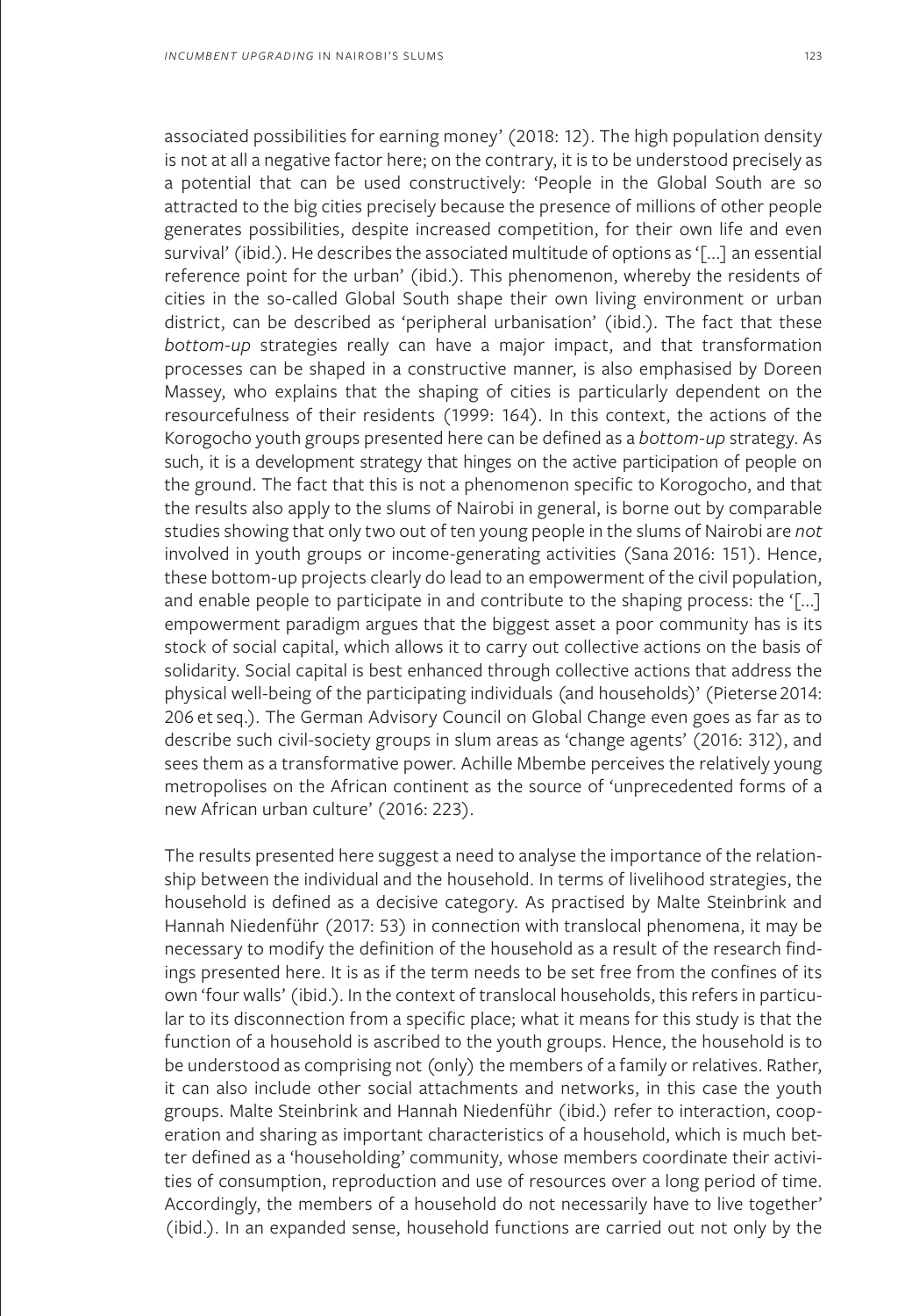associated possibilities for earning money' (2018: 12). The high population density is not at all a negative factor here; on the contrary, it is to be understood precisely as a potential that can be used constructively: 'People in the Global South are so attracted to the big cities precisely because the presence of millions of other people generates possibilities, despite increased competition, for their own life and even survival' (ibid.). He describes the associated multitude of options as '[...] an essential reference point for the urban' (ibid.). This phenomenon, whereby the residents of cities in the so-called Global South shape their own living environment or urban district, can be described as 'peripheral urbanisation' (ibid.). The fact that these *bottom-up* strategies really can have a major impact, and that transformation processes can be shaped in a constructive manner, is also emphasised by Doreen Massey, who explains that the shaping of cities is particularly dependent on the resourcefulness of their residents (1999: 164). In this context, the actions of the Korogocho youth groups presented here can be defined as a *bottom-up* strategy. As such, it is a development strategy that hinges on the active participation of people on the ground. The fact that this is not a phenomenon specific to Korogocho, and that the results also apply to the slums of Nairobi in general, is borne out by comparable studies showing that only two out of ten young people in the slums of Nairobi are *not* involved in youth groups or income-generating activities (Sana 2016: 151). Hence, these bottom-up projects clearly do lead to an empowerment of the civil population, and enable people to participate in and contribute to the shaping process: the '[...] empowerment paradigm argues that the biggest asset a poor community has is its stock of social capital, which allows it to carry out collective actions on the basis of solidarity. Social capital is best enhanced through collective actions that address the physical well-being of the participating individuals (and households)' (Pieterse 2014: 206 et seq.). The German Advisory Council on Global Change even goes as far as to describe such civil-society groups in slum areas as 'change agents' (2016: 312), and sees them as a transformative power. Achille Mbembe perceives the relatively young metropolises on the African continent as the source of 'unprecedented forms of a new African urban culture' (2016: 223).

The results presented here suggest a need to analyse the importance of the relationship between the individual and the household. In terms of livelihood strategies, the household is defined as a decisive category. As practised by Malte Steinbrink and Hannah Niedenführ (2017: 53) in connection with translocal phenomena, it may be necessary to modify the definition of the household as a result of the research findings presented here. It is as if the term needs to be set free from the confines of its own 'four walls' (ibid.). In the context of translocal households, this refers in particular to its disconnection from a specific place; what it means for this study is that the function of a household is ascribed to the youth groups. Hence, the household is to be understood as comprising not (only) the members of a family or relatives. Rather, it can also include other social attachments and networks, in this case the youth groups. Malte Steinbrink and Hannah Niedenführ (ibid.) refer to interaction, cooperation and sharing as important characteristics of a household, which is much better defined as a 'householding' community, whose members coordinate their activities of consumption, reproduction and use of resources over a long period of time. Accordingly, the members of a household do not necessarily have to live together' (ibid.). In an expanded sense, household functions are carried out not only by the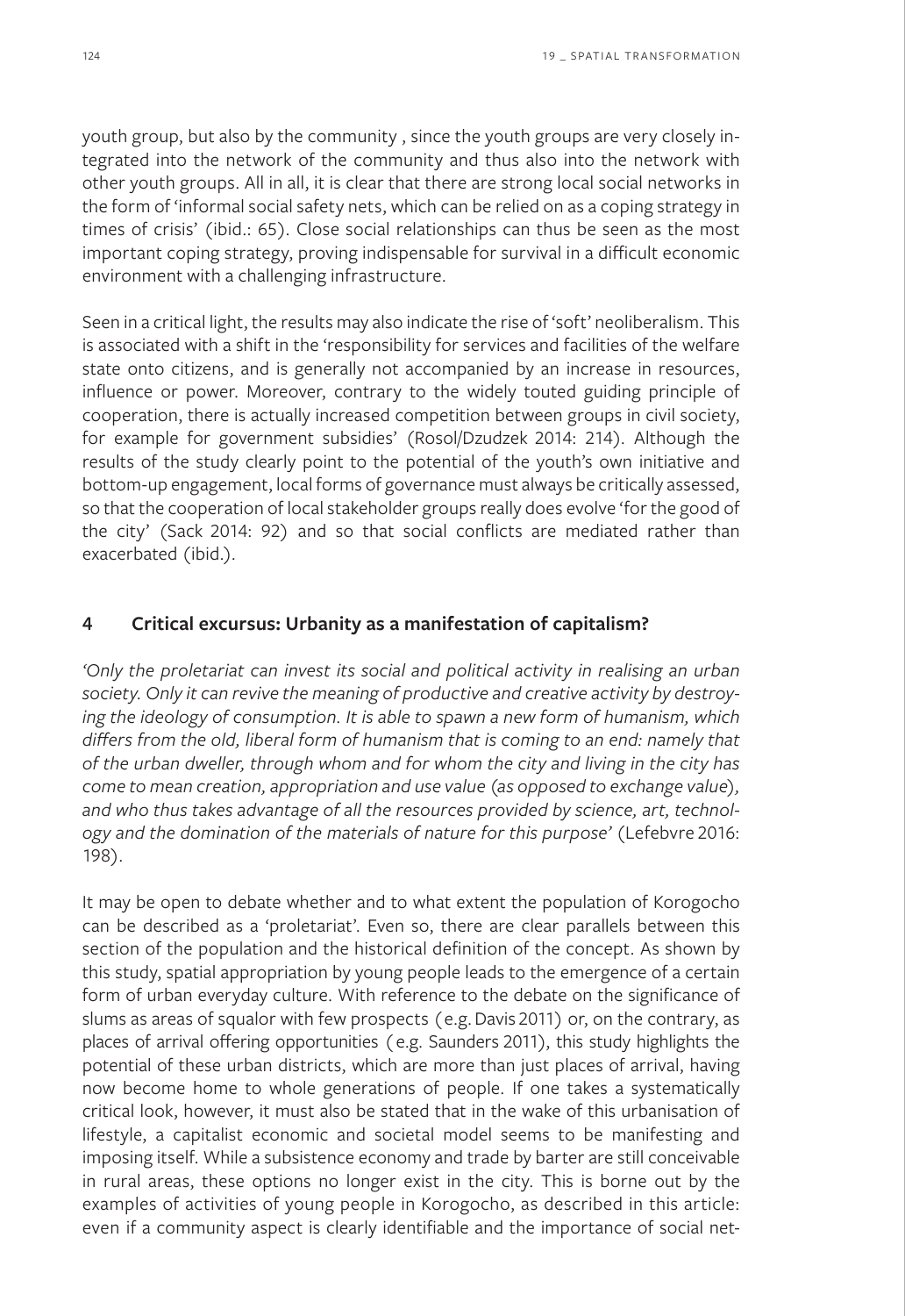youth group, but also by the community , since the youth groups are very closely integrated into the network of the community and thus also into the network with other youth groups. All in all, it is clear that there are strong local social networks in the form of 'informal social safety nets, which can be relied on as a coping strategy in times of crisis' (ibid.: 65). Close social relationships can thus be seen as the most important coping strategy, proving indispensable for survival in a difficult economic environment with a challenging infrastructure.

Seen in a critical light, the results may also indicate the rise of 'soft' neoliberalism. This is associated with a shift in the 'responsibility for services and facilities of the welfare state onto citizens, and is generally not accompanied by an increase in resources, influence or power. Moreover, contrary to the widely touted guiding principle of cooperation, there is actually increased competition between groups in civil society, for example for government subsidies' (Rosol/Dzudzek 2014: 214). Although the results of the study clearly point to the potential of the youth's own initiative and bottom-up engagement, local forms of governance must always be critically assessed, so that the cooperation of local stakeholder groups really does evolve 'for the good of the city' (Sack 2014: 92) and so that social conflicts are mediated rather than exacerbated (ibid.).

#### **4 Critical excursus: Urbanity as a manifestation of capitalism?**

*'Only the proletariat can invest its social and political activity in realising an urban society. Only it can revive the meaning of productive and creative activity by destroying the ideology of consumption. It is able to spawn a new form of humanism, which differs from the old, liberal form of humanism that is coming to an end: namely that of the urban dweller, through whom and for whom the city and living in the city has come to mean creation, appropriation and use value (as opposed to exchange value), and who thus takes advantage of all the resources provided by science, art, technology and the domination of the materials of nature for this purpose'* (Lefebvre 2016: 198).

It may be open to debate whether and to what extent the population of Korogocho can be described as a 'proletariat'. Even so, there are clear parallels between this section of the population and the historical definition of the concept. As shown by this study, spatial appropriation by young people leads to the emergence of a certain form of urban everyday culture. With reference to the debate on the significance of slums as areas of squalor with few prospects (e.g. Davis 2011) or, on the contrary, as places of arrival offering opportunities (e.g. Saunders 2011), this study highlights the potential of these urban districts, which are more than just places of arrival, having now become home to whole generations of people. If one takes a systematically critical look, however, it must also be stated that in the wake of this urbanisation of lifestyle, a capitalist economic and societal model seems to be manifesting and imposing itself. While a subsistence economy and trade by barter are still conceivable in rural areas, these options no longer exist in the city. This is borne out by the examples of activities of young people in Korogocho, as described in this article: even if a community aspect is clearly identifiable and the importance of social net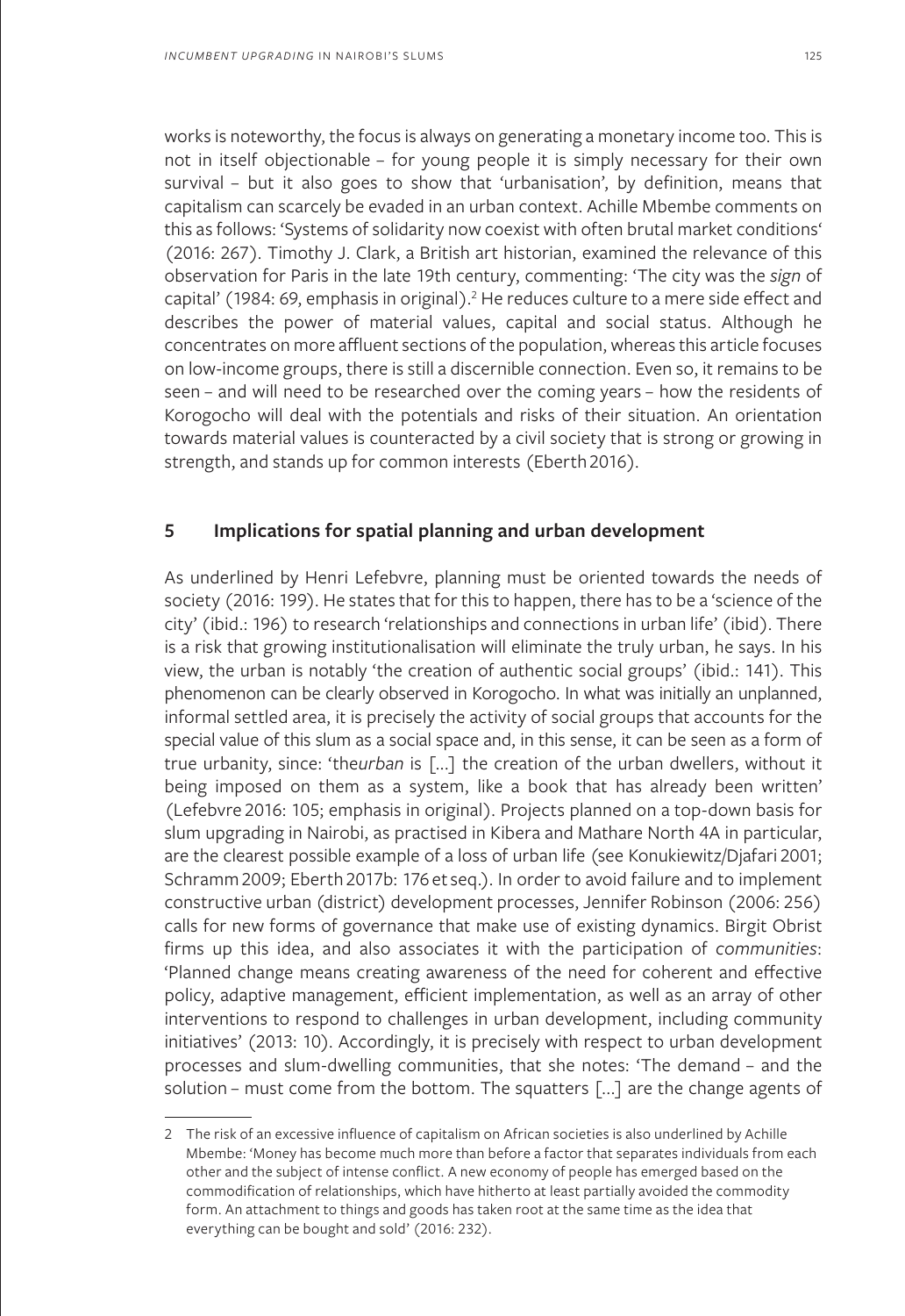works is noteworthy, the focus is always on generating a monetary income too. This is not in itself objectionable – for young people it is simply necessary for their own survival - but it also goes to show that 'urbanisation', by definition, means that capitalism can scarcely be evaded in an urban context. Achille Mbembe comments on this as follows: 'Systems of solidarity now coexist with often brutal market conditions' (2016: 267). Timothy J. Clark, a British art historian, examined the relevance of this observation for Paris in the late 19th century, commenting: 'The city was the *sign* of capital' (1984: 69, emphasis in original).<sup>2</sup> He reduces culture to a mere side effect and describes the power of material values, capital and social status. Although he concentrates on more affluent sections of the population, whereas this article focuses on low-income groups, there is still a discernible connection. Even so, it remains to be seen – and will need to be researched over the coming years – how the residents of Korogocho will deal with the potentials and risks of their situation. An orientation towards material values is counteracted by a civil society that is strong or growing in strength, and stands up for common interests (Eberth 2016).

## **5 Implications for spatial planning and urban development**

As underlined by Henri Lefebvre, planning must be oriented towards the needs of society (2016: 199). He states that for this to happen, there has to be a 'science of the city' (ibid.: 196) to research 'relationships and connections in urban life' (ibid). There is a risk that growing institutionalisation will eliminate the truly urban, he says. In his view, the urban is notably 'the creation of authentic social groups' (ibid.: 141). This phenomenon can be clearly observed in Korogocho. In what was initially an unplanned, informal settled area, it is precisely the activity of social groups that accounts for the special value of this slum as a social space and, in this sense, it can be seen as a form of true urbanity, since: 'the*urban* is [...] the creation of the urban dwellers, without it being imposed on them as a system, like a book that has already been written' (Lefebvre 2016: 105; emphasis in original). Projects planned on a top-down basis for slum upgrading in Nairobi, as practised in Kibera and Mathare North 4A in particular, are the clearest possible example of a loss of urban life (see Konukiewitz/Djafari 2001; Schramm 2009; Eberth 2017b: 176 et seq.). In order to avoid failure and to implement constructive urban (district) development processes, Jennifer Robinson (2006: 256) calls for new forms of governance that make use of existing dynamics. Birgit Obrist firms up this idea, and also associates it with the participation of *communities*: 'Planned change means creating awareness of the need for coherent and effective policy, adaptive management, efficient implementation, as well as an array of other interventions to respond to challenges in urban development, including community initiatives' (2013: 10). Accordingly, it is precisely with respect to urban development processes and slum-dwelling communities, that she notes: 'The demand – and the solution – must come from the bottom. The squatters [...] are the change agents of

<sup>2</sup> The risk of an excessive influence of capitalism on African societies is also underlined by Achille Mbembe: 'Money has become much more than before a factor that separates individuals from each other and the subject of intense conflict. A new economy of people has emerged based on the commodification of relationships, which have hitherto at least partially avoided the commodity form. An attachment to things and goods has taken root at the same time as the idea that everything can be bought and sold' (2016: 232).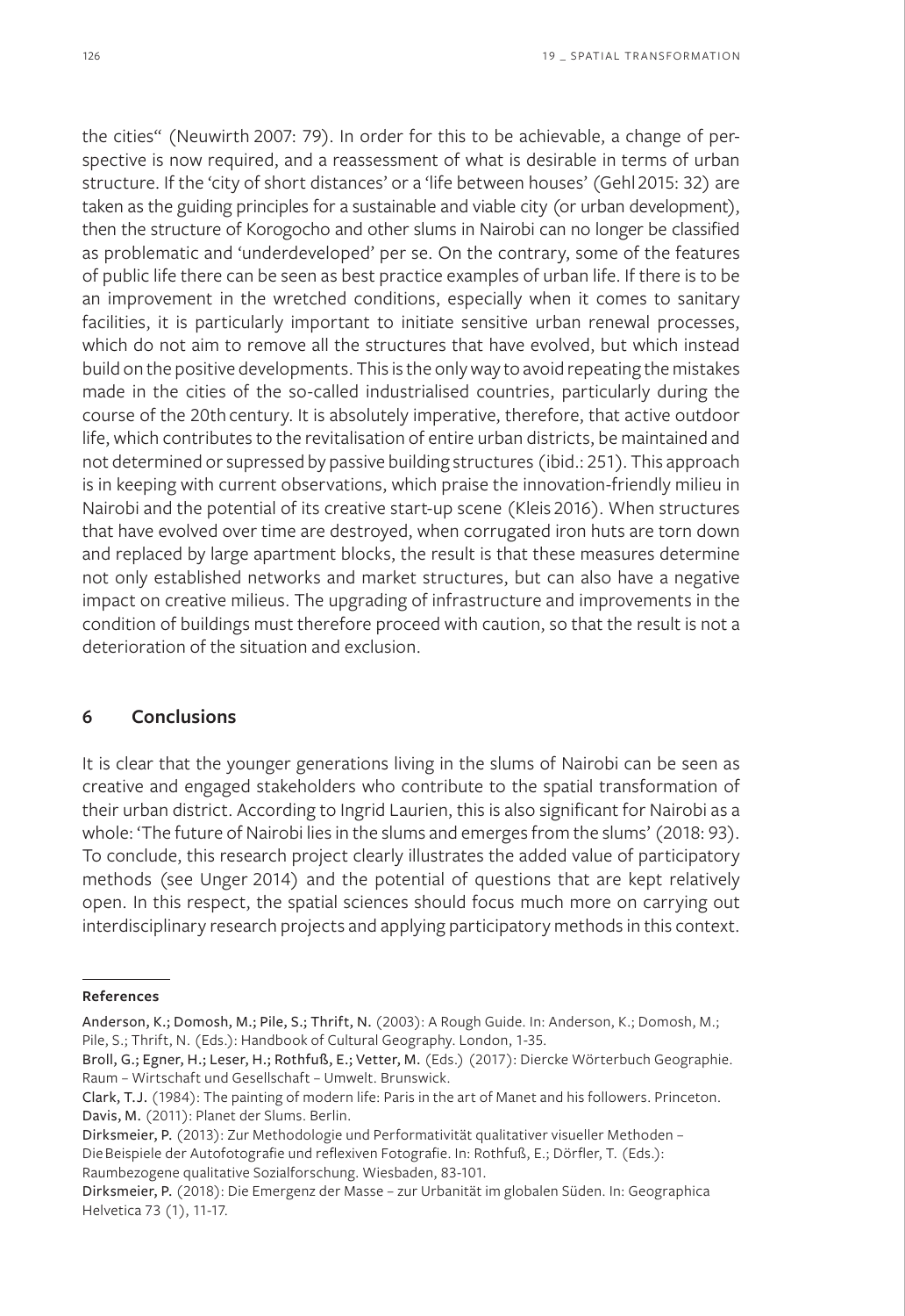the cities" (Neuwirth 2007: 79). In order for this to be achievable, a change of perspective is now required, and a reassessment of what is desirable in terms of urban structure. If the 'city of short distances' or a 'life between houses' (Gehl 2015: 32) are taken as the guiding principles for a sustainable and viable city (or urban development), then the structure of Korogocho and other slums in Nairobi can no longer be classified as problematic and 'underdeveloped' per se. On the contrary, some of the features of public life there can be seen as best practice examples of urban life. If there is to be an improvement in the wretched conditions, especially when it comes to sanitary facilities, it is particularly important to initiate sensitive urban renewal processes, which do not aim to remove all the structures that have evolved, but which instead build on the positive developments. This is the only way to avoid repeating the mistakes made in the cities of the so-called industrialised countries, particularly during the course of the 20th century. It is absolutely imperative, therefore, that active outdoor life, which contributes to the revitalisation of entire urban districts, be maintained and not determined or supressed by passive building structures (ibid.: 251). This approach is in keeping with current observations, which praise the innovation-friendly milieu in Nairobi and the potential of its creative start-up scene (Kleis 2016). When structures that have evolved over time are destroyed, when corrugated iron huts are torn down and replaced by large apartment blocks, the result is that these measures determine not only established networks and market structures, but can also have a negative impact on creative milieus. The upgrading of infrastructure and improvements in the condition of buildings must therefore proceed with caution, so that the result is not a deterioration of the situation and exclusion.

## **6 Conclusions**

It is clear that the younger generations living in the slums of Nairobi can be seen as creative and engaged stakeholders who contribute to the spatial transformation of their urban district. According to Ingrid Laurien, this is also significant for Nairobi as a whole: 'The future of Nairobi lies in the slums and emerges from the slums' (2018: 93). To conclude, this research project clearly illustrates the added value of participatory methods (see Unger 2014) and the potential of questions that are kept relatively open. In this respect, the spatial sciences should focus much more on carrying out interdisciplinary research projects and applying participatory methods in this context.

**References**

Anderson, K.; Domosh, M.; Pile, S.; Thrift, N. (2003): A Rough Guide. In: Anderson, K.; Domosh, M.; Pile, S.; Thrift, N. (Eds.): Handbook of Cultural Geography. London, 1-35.

Broll, G.; Egner, H.; Leser, H.; Rothfuß, E.; Vetter, M. (Eds.) (2017): Diercke Wörterbuch Geographie. Raum – Wirtschaft und Gesellschaft – Umwelt. Brunswick.

Clark, T.J. (1984): The painting of modern life: Paris in the art of Manet and his followers. Princeton. Davis, M. (2011): Planet der Slums. Berlin.

Dirksmeier, P. (2013): Zur Methodologie und Performativität qualitativer visueller Methoden – Die Beispiele der Autofotografie und reflexiven Fotografie. In: Rothfuß, E.; Dörfler, T. (Eds.): Raumbezogene qualitative Sozialforschung. Wiesbaden, 83-101.

Dirksmeier, P. (2018): Die Emergenz der Masse – zur Urbanität im globalen Süden. In: Geographica Helvetica 73 (1), 11-17.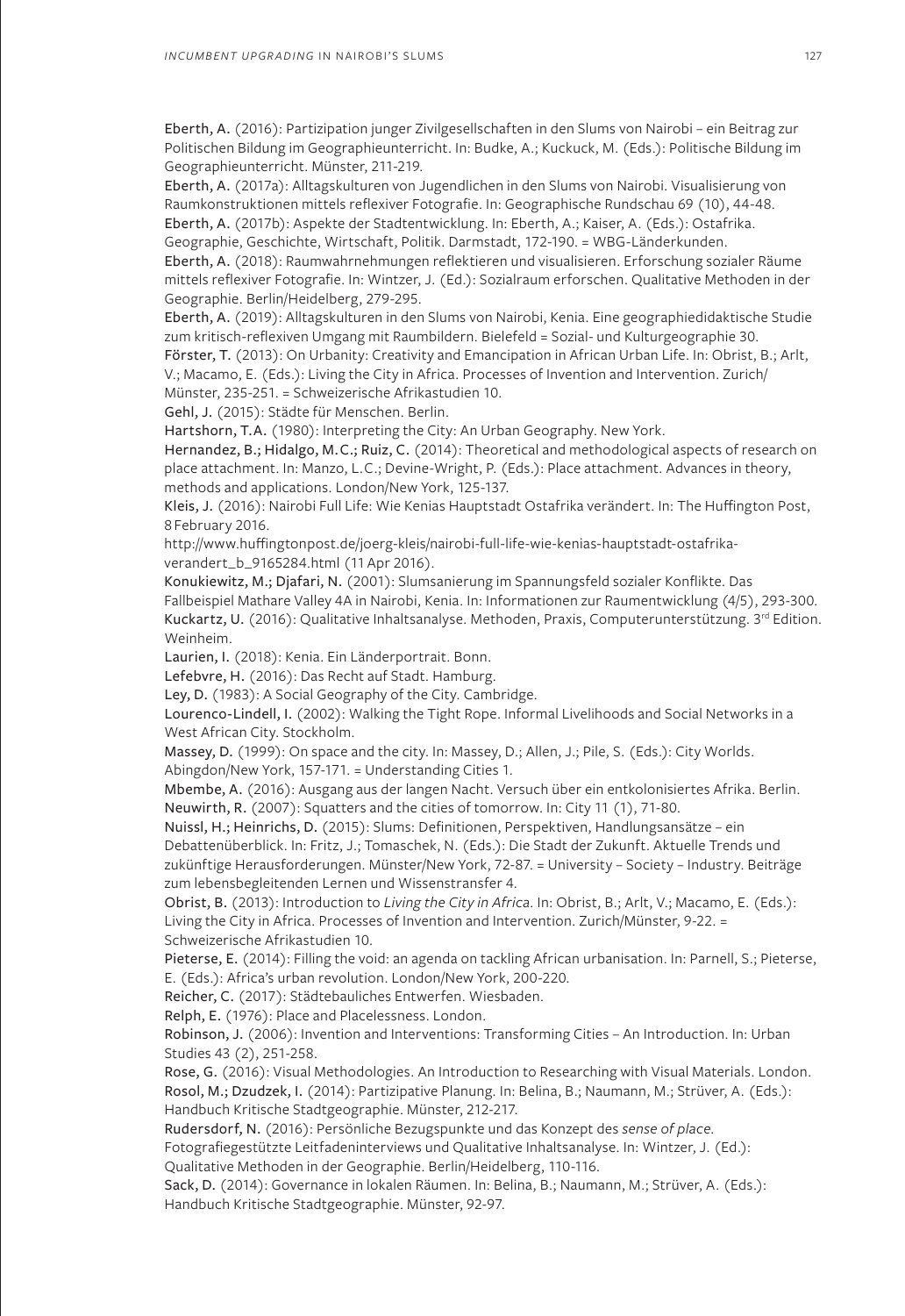Eberth, A. (2016): Partizipation junger Zivilgesellschaften in den Slums von Nairobi – ein Beitrag zur Politischen Bildung im Geographieunterricht. In: Budke, A.; Kuckuck, M. (Eds.): Politische Bildung im Geographieunterricht. Münster, 211-219.

Eberth, A. (2017a): Alltagskulturen von Jugendlichen in den Slums von Nairobi. Visualisierung von Raumkonstruktionen mittels reflexiver Fotografie. In: Geographische Rundschau 69 (10), 44-48. Eberth, A. (2017b): Aspekte der Stadtentwicklung. In: Eberth, A.; Kaiser, A. (Eds.): Ostafrika.

Geographie, Geschichte, Wirtschaft, Politik. Darmstadt, 172-190. = WBG-Länderkunden. Eberth, A. (2018): Raumwahrnehmungen reflektieren und visualisieren. Erforschung sozialer Räume mittels reflexiver Fotografie. In: Wintzer, J. (Ed.): Sozialraum erforschen. Qualitative Methoden in der Geographie. Berlin/Heidelberg, 279-295.

Eberth, A. (2019): Alltagskulturen in den Slums von Nairobi, Kenia. Eine geographiedidaktische Studie zum kritisch-reflexiven Umgang mit Raumbildern. Bielefeld = Sozial- und Kulturgeographie 30.

Förster, T. (2013): On Urbanity: Creativity and Emancipation in African Urban Life. In: Obrist, B.; Arlt, V.; Macamo, E. (Eds.): Living the City in Africa. Processes of Invention and Intervention. Zurich/ Münster, 235-251. = Schweizerische Afrikastudien 10.

Gehl, J. (2015): Städte für Menschen. Berlin.

Hartshorn, T.A. (1980): Interpreting the City: An Urban Geography. New York.

Hernandez, B.; Hidalgo, M.C.; Ruiz, C. (2014): Theoretical and methodological aspects of research on place attachment. In: Manzo, L.C.; Devine-Wright, P. (Eds.): Place attachment. Advances in theory, methods and applications. London/New York, 125-137.

Kleis, J. (2016): Nairobi Full Life: Wie Kenias Hauptstadt Ostafrika verändert. In: The Huffington Post, 8 February 2016.

http://www.huffingtonpost.de/joerg-kleis/nairobi-full-life-wie-kenias-hauptstadt-ostafrikaverandert\_b\_9165284.html (11 Apr 2016).

Konukiewitz, M.; Djafari, N. (2001): Slumsanierung im Spannungsfeld sozialer Konflikte. Das Fallbeispiel Mathare Valley 4A in Nairobi, Kenia. In: Informationen zur Raumentwicklung (4/5), 293-300. Kuckartz, U. (2016): Qualitative Inhaltsanalyse. Methoden, Praxis, Computerunterstützung. 3<sup>rd</sup> Edition. Weinheim.

Laurien, I. (2018): Kenia. Ein Länderportrait. Bonn.

Lefebvre, H. (2016): Das Recht auf Stadt. Hamburg.

Ley, D. (1983): A Social Geography of the City. Cambridge.

Lourenco-Lindell, I. (2002): Walking the Tight Rope. Informal Livelihoods and Social Networks in a West African City. Stockholm.

Massey, D. (1999): On space and the city. In: Massey, D.; Allen, J.; Pile, S. (Eds.): City Worlds. Abingdon/New York, 157-171. = Understanding Cities 1.

Mbembe, A. (2016): Ausgang aus der langen Nacht. Versuch über ein entkolonisiertes Afrika. Berlin. Neuwirth, R. (2007): Squatters and the cities of tomorrow. In: City 11 (1), 71-80.

Nuissl, H.; Heinrichs, D. (2015): Slums: Definitionen, Perspektiven, Handlungsansätze – ein Debattenüberblick. In: Fritz, J.; Tomaschek, N. (Eds.): Die Stadt der Zukunft. Aktuelle Trends und zukünftige Herausforderungen. Münster/New York, 72-87. = University – Society – Industry. Beiträge zum lebensbegleitenden Lernen und Wissenstransfer 4.

Obrist, B. (2013): Introduction to *Living the City in Africa*. In: Obrist, B.; Arlt, V.; Macamo, E. (Eds.): Living the City in Africa. Processes of Invention and Intervention. Zurich/Münster, 9-22. = Schweizerische Afrikastudien 10.

Pieterse, E. (2014): Filling the void: an agenda on tackling African urbanisation. In: Parnell, S.; Pieterse, E. (Eds.): Africa's urban revolution. London/New York, 200-220.

Reicher, C. (2017): Städtebauliches Entwerfen. Wiesbaden.

Relph, E. (1976): Place and Placelessness. London.

Robinson, J. (2006): Invention and Interventions: Transforming Cities – An Introduction. In: Urban Studies 43 (2), 251-258.

Rose, G. (2016): Visual Methodologies. An Introduction to Researching with Visual Materials. London. Rosol, M.; Dzudzek, I. (2014): Partizipative Planung. In: Belina, B.; Naumann, M.; Strüver, A. (Eds.): Handbuch Kritische Stadtgeographie. Münster, 212-217.

Rudersdorf, N. (2016): Persönliche Bezugspunkte und das Konzept des *sense of place*.

Fotografiegestützte Leitfadeninterviews und Qualitative Inhaltsanalyse. In: Wintzer, J. (Ed.): Qualitative Methoden in der Geographie. Berlin/Heidelberg, 110-116.

Sack, D. (2014): Governance in lokalen Räumen. In: Belina, B.; Naumann, M.; Strüver, A. (Eds.): Handbuch Kritische Stadtgeographie. Münster, 92-97.